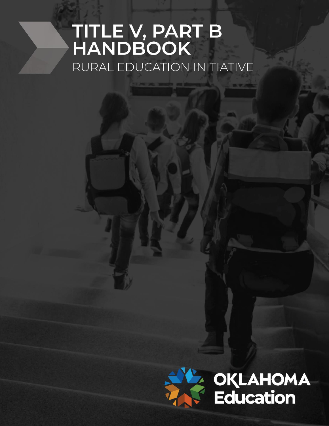# TITLE V, PART B<br>HANDBOOK RURAL EDUCATION INITIATIVE

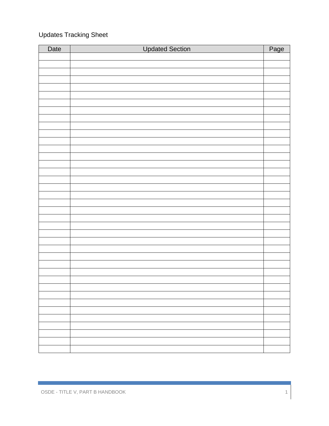### Updates Tracking Sheet

| Date | <b>Updated Section</b> | Page |
|------|------------------------|------|
|      |                        |      |
|      |                        |      |
|      |                        |      |
|      |                        |      |
|      |                        |      |
|      |                        |      |
|      |                        |      |
|      |                        |      |
|      |                        |      |
|      |                        |      |
|      |                        |      |
|      |                        |      |
|      |                        |      |
|      |                        |      |
|      |                        |      |
|      |                        |      |
|      |                        |      |
|      |                        |      |
|      |                        |      |
|      |                        |      |
|      |                        |      |
|      |                        |      |
|      |                        |      |
|      |                        |      |
|      |                        |      |
|      |                        |      |
|      |                        |      |
|      |                        |      |
|      |                        |      |
|      |                        |      |
|      |                        |      |
|      |                        |      |
|      |                        |      |
|      |                        |      |
|      |                        |      |
|      |                        |      |
|      |                        |      |
|      |                        |      |
|      |                        |      |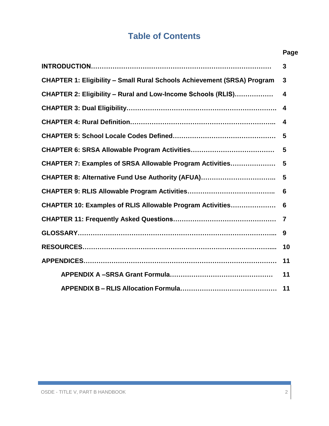# **Table of Contents**

|                                                                                | Page |  |
|--------------------------------------------------------------------------------|------|--|
|                                                                                | 3    |  |
| <b>CHAPTER 1: Eligibility - Small Rural Schools Achievement (SRSA) Program</b> | 3    |  |
| CHAPTER 2: Eligibility - Rural and Low-Income Schools (RLIS)                   | 4    |  |
|                                                                                | 4    |  |
|                                                                                | 4    |  |
|                                                                                | 5    |  |
|                                                                                | 5    |  |
| CHAPTER 7: Examples of SRSA Allowable Program Activities                       | 5    |  |
| CHAPTER 8: Alternative Fund Use Authority (AFUA)                               | 5    |  |
|                                                                                | 6    |  |
| CHAPTER 10: Examples of RLIS Allowable Program Activities                      |      |  |
|                                                                                |      |  |
|                                                                                | 9    |  |
|                                                                                | 10   |  |
|                                                                                |      |  |
|                                                                                | 11   |  |
|                                                                                | 11   |  |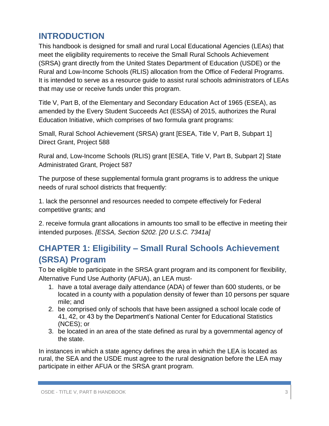## **INTRODUCTION**

This handbook is designed for small and rural Local Educational Agencies (LEAs) that meet the eligibility requirements to receive the Small Rural Schools Achievement (SRSA) grant directly from the United States Department of Education (USDE) or the Rural and Low-Income Schools (RLIS) allocation from the Office of Federal Programs. It is intended to serve as a resource guide to assist rural schools administrators of LEAs that may use or receive funds under this program.

Title V, Part B, of the Elementary and Secondary Education Act of 1965 (ESEA), as amended by the Every Student Succeeds Act (ESSA) of 2015, authorizes the Rural Education Initiative, which comprises of two formula grant programs:

Small, Rural School Achievement (SRSA) grant [ESEA, Title V, Part B, Subpart 1] Direct Grant, Project 588

Rural and, Low-Income Schools (RLIS) grant [ESEA, Title V, Part B, Subpart 2] State Administrated Grant, Project 587

The purpose of these supplemental formula grant programs is to address the unique needs of rural school districts that frequently:

1. lack the personnel and resources needed to compete effectively for Federal competitive grants; and

2. receive formula grant allocations in amounts too small to be effective in meeting their intended purposes. *[ESSA, Section 5202. [20 U.S.C. 7341a]*

# **CHAPTER 1: Eligibility – Small Rural Schools Achievement (SRSA) Program**

To be eligible to participate in the SRSA grant program and its component for flexibility, Alternative Fund Use Authority (AFUA), an LEA must-

- 1. have a total average daily attendance (ADA) of fewer than 600 students, or be located in a county with a population density of fewer than 10 persons per square mile; and
- 2. be comprised only of schools that have been assigned a school locale code of 41, 42, or 43 by the Department's National Center for Educational Statistics (NCES); or
- 3. be located in an area of the state defined as rural by a governmental agency of the state.

In instances in which a state agency defines the area in which the LEA is located as rural, the SEA and the USDE must agree to the rural designation before the LEA may participate in either AFUA or the SRSA grant program.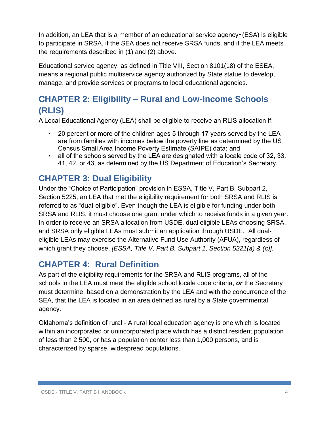In addition, an LEA that is a member of an educational service agency<sup>1</sup> (ESA) is eligible to participate in SRSA, if the SEA does not receive SRSA funds, and if the LEA meets the requirements described in (1) and (2) above.

Educational service agency, as defined in Title VIII, Section 8101(18) of the ESEA, means a regional public multiservice agency authorized by State statue to develop, manage, and provide services or programs to local educational agencies.

# **CHAPTER 2: Eligibility – Rural and Low-Income Schools (RLIS)**

A Local Educational Agency (LEA) shall be eligible to receive an RLIS allocation if:

- 20 percent or more of the children ages 5 through 17 years served by the LEA are from families with incomes below the poverty line as determined by the US Census Small Area Income Poverty Estimate (SAIPE) data; and
- all of the schools served by the LEA are designated with a locale code of 32, 33, 41, 42, or 43, as determined by the US Department of Education's Secretary.

## **CHAPTER 3: Dual Eligibility**

Under the "Choice of Participation" provision in ESSA, Title V, Part B, Subpart 2, Section 5225, an LEA that met the eligibility requirement for both SRSA and RLIS is referred to as "dual-eligible". Even though the LEA is eligible for funding under both SRSA and RLIS, it must choose one grant under which to receive funds in a given year. In order to receive an SRSA allocation from USDE, dual eligible LEAs choosing SRSA, and SRSA only eligible LEAs must submit an application through USDE. All dualeligible LEAs may exercise the Alternative Fund Use Authority (AFUA), regardless of which grant they choose. *[ESSA, Title V, Part B, Subpart 1, Section 5221(a) & (c)].* 

## **CHAPTER 4: Rural Definition**

As part of the eligibility requirements for the SRSA and RLIS programs, all of the schools in the LEA must meet the eligible school locale code criteria, *or* the Secretary must determine, based on a demonstration by the LEA and with the concurrence of the SEA, that the LEA is located in an area defined as rural by a State governmental agency.

Oklahoma's definition of rural - A rural local education agency is one which is located within an incorporated or unincorporated place which has a district resident population of less than 2,500, or has a population center less than 1,000 persons, and is characterized by sparse, widespread populations.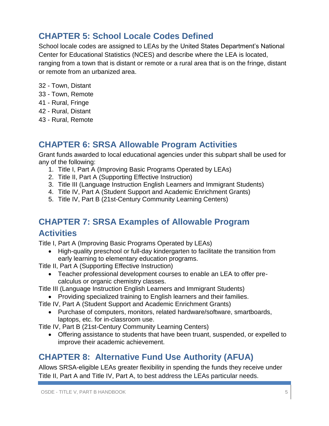## **CHAPTER 5: School Locale Codes Defined**

School locale codes are assigned to LEAs by the United States Department's National Center for Educational Statistics (NCES) and describe where the LEA is located, ranging from a town that is distant or remote or a rural area that is on the fringe, distant or remote from an urbanized area.

- 32 Town, Distant
- 33 Town, Remote
- 41 Rural, Fringe
- 42 Rural, Distant
- 43 Rural, Remote

## **CHAPTER 6: SRSA Allowable Program Activities**

Grant funds awarded to local educational agencies under this subpart shall be used for any of the following:

- 1. Title I, Part A (Improving Basic Programs Operated by LEAs)
- 2. Title II, Part A (Supporting Effective Instruction)
- 3. Title III (Language Instruction English Learners and Immigrant Students)
- 4. Title IV, Part A (Student Support and Academic Enrichment Grants)
- 5. Title IV, Part B (21st-Century Community Learning Centers)

# **CHAPTER 7: SRSA Examples of Allowable Program Activities**

Title I, Part A (Improving Basic Programs Operated by LEAs)

 High-quality preschool or full-day kindergarten to facilitate the transition from early learning to elementary education programs.

Title II, Part A (Supporting Effective Instruction)

 Teacher professional development courses to enable an LEA to offer precalculus or organic chemistry classes.

Title III (Language Instruction English Learners and Immigrant Students)

- Providing specialized training to English learners and their families.
- Title IV, Part A (Student Support and Academic Enrichment Grants)
	- Purchase of computers, monitors, related hardware/software, smartboards, laptops, etc. for in-classroom use.

Title IV, Part B (21st-Century Community Learning Centers)

 Offering assistance to students that have been truant, suspended, or expelled to improve their academic achievement.

# **CHAPTER 8: Alternative Fund Use Authority (AFUA)**

Allows SRSA-eligible LEAs greater flexibility in spending the funds they receive under Title II, Part A and Title IV, Part A, to best address the LEAs particular needs.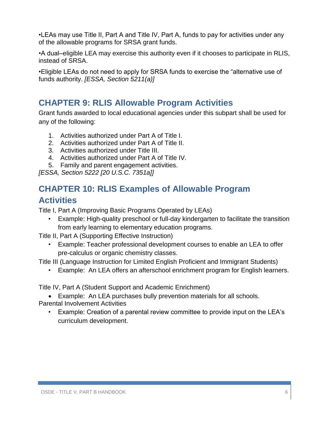•LEAs may use Title II, Part A and Title IV, Part A, funds to pay for activities under any of the allowable programs for SRSA grant funds.

•A dual–eligible LEA may exercise this authority even if it chooses to participate in RLIS, instead of SRSA.

•Eligible LEAs do not need to apply for SRSA funds to exercise the "alternative use of funds authority. *[ESSA, Section 5211(a)]*

## **CHAPTER 9: RLIS Allowable Program Activities**

Grant funds awarded to local educational agencies under this subpart shall be used for any of the following:

- 1. Activities authorized under Part A of Title I.
- 2. Activities authorized under Part A of Title II.
- 3. Activities authorized under Title III.
- 4. Activities authorized under Part A of Title IV.
- 5. Family and parent engagement activities.

*[ESSA, Section 5222 [20 U.S.C. 7351a]]*

# **CHAPTER 10: RLIS Examples of Allowable Program Activities**

Title I, Part A (Improving Basic Programs Operated by LEAs)

• Example: High-quality preschool or full-day kindergarten to facilitate the transition from early learning to elementary education programs.

Title II, Part A (Supporting Effective Instruction)

• Example: Teacher professional development courses to enable an LEA to offer pre-calculus or organic chemistry classes.

Title III (Language Instruction for Limited English Proficient and Immigrant Students)

• Example: An LEA offers an afterschool enrichment program for English learners.

Title IV, Part A (Student Support and Academic Enrichment)

Example: An LEA purchases bully prevention materials for all schools.

Parental Involvement Activities

• Example: Creation of a parental review committee to provide input on the LEA's curriculum development.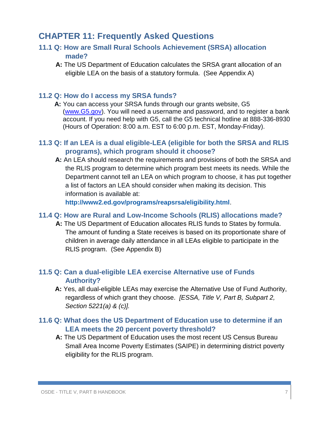## **CHAPTER 11: Frequently Asked Questions**

#### **11.1 Q: How are Small Rural Schools Achievement (SRSA) allocation made?**

**A:** The US Department of Education calculates the SRSA grant allocation of an eligible LEA on the basis of a statutory formula. (See Appendix A)

#### **11.2 Q: How do I access my SRSA funds?**

 **A:** You can access your SRSA funds through our grants website, G5 [\(www.G5.gov\)](http://www.g5.gov/). You will need a username and password, and to register a bank account. If you need help with G5, call the G5 technical hotline at 888-336-8930 (Hours of Operation: 8:00 a.m. EST to 6:00 p.m. EST, Monday-Friday).

#### **11.3 Q: If an LEA is a dual eligible-LEA (eligible for both the SRSA and RLIS programs), which program should it choose?**

**A:** An LEA should research the requirements and provisions of both the SRSA and the RLIS program to determine which program best meets its needs. While the Department cannot tell an LEA on which program to choose, it has put together a list of factors an LEA should consider when making its decision. This information is available at:

**<http://www2.ed.gov/programs/reapsrsa/eligibility.html>**.

#### **11.4 Q: How are Rural and Low-Income Schools (RLIS) allocations made?**

**A:** The US Department of Education allocates RLIS funds to States by formula. The amount of funding a State receives is based on its proportionate share of children in average daily attendance in all LEAs eligible to participate in the RLIS program. (See Appendix B)

#### **11.5 Q: Can a dual-eligible LEA exercise Alternative use of Funds Authority?**

**A:** Yes, all dual-eligible LEAs may exercise the Alternative Use of Fund Authority, regardless of which grant they choose. *[ESSA, Title V, Part B, Subpart 2, Section 5221(a) & (c)].*

#### **11.6 Q: What does the US Department of Education use to determine if an LEA meets the 20 percent poverty threshold?**

**A:** The US Department of Education uses the most recent US Census Bureau Small Area Income Poverty Estimates (SAIPE) in determining district poverty eligibility for the RLIS program.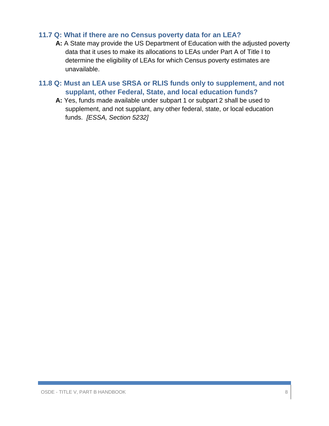#### **11.7 Q: What if there are no Census poverty data for an LEA?**

**A:** A State may provide the US Department of Education with the adjusted poverty data that it uses to make its allocations to LEAs under Part A of Title I to determine the eligibility of LEAs for which Census poverty estimates are unavailable.

#### **11.8 Q: Must an LEA use SRSA or RLIS funds only to supplement, and not supplant, other Federal, State, and local education funds?**

**A:** Yes, funds made available under subpart 1 or subpart 2 shall be used to supplement, and not supplant, any other federal, state, or local education funds. *[ESSA, Section 5232]*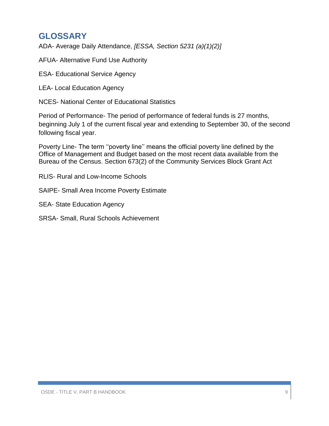## **GLOSSARY**

ADA- Average Daily Attendance, *[ESSA, Section 5231 (a)(1)(2)]*

AFUA- Alternative Fund Use Authority

ESA- Educational Service Agency

LEA- Local Education Agency

NCES- National Center of Educational Statistics

Period of Performance- The period of performance of federal funds is 27 months, beginning July 1 of the current fiscal year and extending to September 30, of the second following fiscal year.

Poverty Line- The term ''poverty line'' means the official poverty line defined by the Office of Management and Budget based on the most recent data available from the Bureau of the Census. Section 673(2) of the Community Services Block Grant Act

RLIS- Rural and Low-Income Schools

SAIPE- Small Area Income Poverty Estimate

SEA- State Education Agency

SRSA- Small, Rural Schools Achievement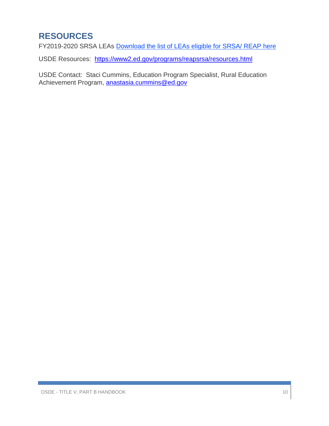# **RESOURCES**

FY2019-2020 SRSA LEAs [Download the list of LEAs eligible for SRSA/ REAP](http://links.govdelivery.com/track?type=click&enid=ZWFzPTEmbXNpZD0mYXVpZD0mbWFpbGluZ2lkPTIwMTkwNzE2LjgxMTI3NzEmbWVzc2FnZWlkPU1EQi1QUkQtQlVMLTIwMTkwNzE2LjgxMTI3NzEmZGF0YWJhc2VpZD0xMDAxJnNlcmlhbD0xNzQyNjk2MiZlbWFpbGlkPWtheS50b3duc2VuZEBzZGUub2suZ292JnVzZXJpZD1rYXkudG93bnNlbmRAc2RlLm9rLmdvdiZ0YXJnZXRpZD0mZmw9Jm12aWQ9JmV4dHJhPSYmJg==&&&113&&&https://sde.ok.gov/sites/default/files/documents/files/SRSA%20LEAs%202020.pdf) here

USDE Resources:<https://www2.ed.gov/programs/reapsrsa/resources.html>

USDE Contact: Staci Cummins, Education Program Specialist, Rural Education Achievement Program, [anastasia.cummins@ed.gov](mailto:anastasia.cummins@ed.gov)